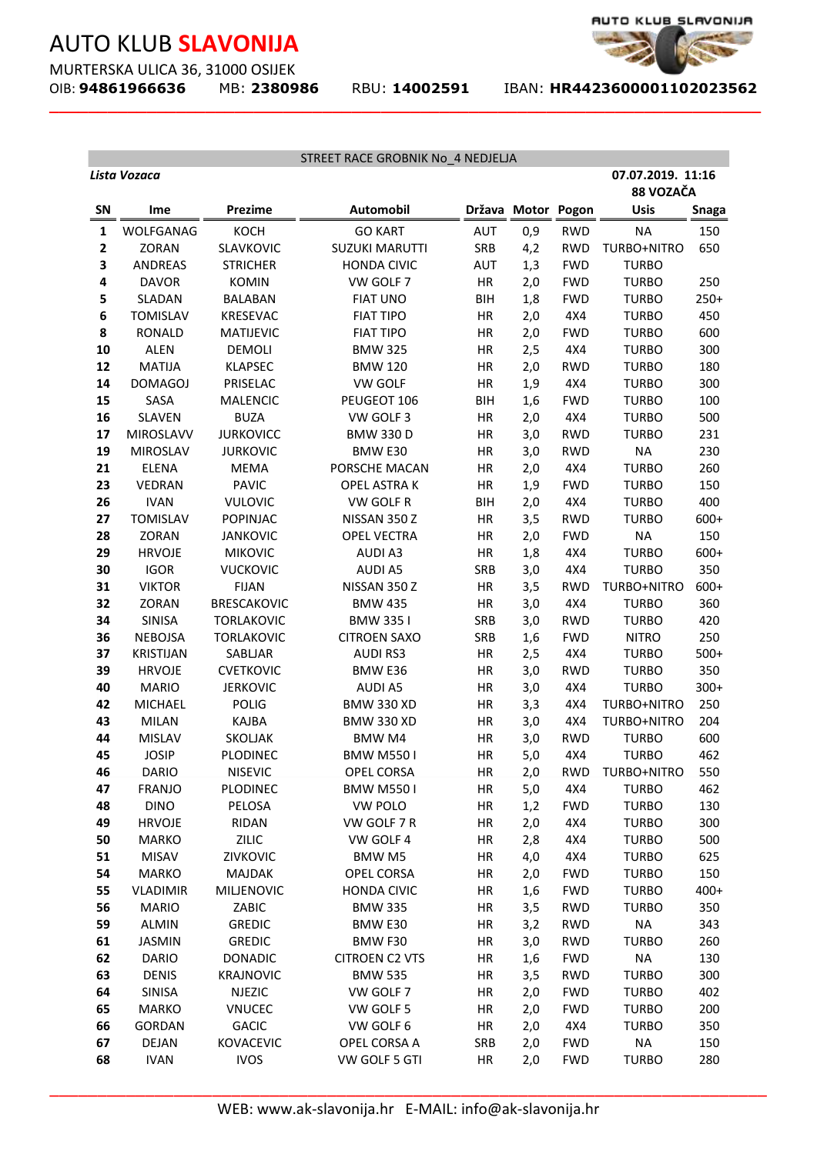MURTERSKA ULICA 36, 31000 OSIJEK<br>OIB: **94861966636** MB: 2380986

**\_\_\_\_\_\_\_\_\_\_\_\_\_\_\_\_\_\_\_\_\_\_\_\_\_\_\_\_\_\_\_\_\_\_\_\_\_\_\_\_\_\_\_\_\_\_\_\_\_\_\_\_\_\_\_\_\_\_\_\_\_\_\_\_\_\_\_\_\_\_\_\_\_**

OIB: **94861966636** MB: **2380986** RBU: **14002591** IBAN: **HR4423600001102023562** 

AUTO KLUB\_SLAVONIJA

| STREET RACE GROBNIK No_4 NEDJELJA |                        |                                    |                                |            |            |                   |                                |               |  |
|-----------------------------------|------------------------|------------------------------------|--------------------------------|------------|------------|-------------------|--------------------------------|---------------|--|
|                                   | Lista Vozaca           |                                    |                                |            |            |                   | 07.07.2019. 11:16<br>88 VOZAČA |               |  |
| <b>SN</b>                         | Ime                    | <b>Prezime</b>                     | <b>Automobil</b>               | Država     | Motor      | Pogon             | <b>Usis</b>                    | Snaga         |  |
| $\mathbf{1}$                      | WOLFGANAG              | KOCH                               | <b>GO KART</b>                 | <b>AUT</b> | 0,9        | <b>RWD</b>        | <b>NA</b>                      | 150           |  |
| 2                                 | ZORAN                  | SLAVKOVIC                          | <b>SUZUKI MARUTTI</b>          | SRB        | 4,2        | <b>RWD</b>        | TURBO+NITRO                    | 650           |  |
| 3                                 | <b>ANDREAS</b>         | <b>STRICHER</b>                    | <b>HONDA CIVIC</b>             | AUT        | 1,3        | <b>FWD</b>        | <b>TURBO</b>                   |               |  |
| 4                                 | <b>DAVOR</b>           | <b>KOMIN</b>                       | VW GOLF 7                      | HR         | 2,0        | <b>FWD</b>        | <b>TURBO</b>                   | 250           |  |
| 5                                 | <b>SLADAN</b>          | <b>BALABAN</b>                     | <b>FIAT UNO</b>                | <b>BIH</b> | 1,8        | <b>FWD</b>        | <b>TURBO</b>                   | $250+$        |  |
| 6                                 | <b>TOMISLAV</b>        | <b>KRESEVAC</b>                    | <b>FIAT TIPO</b>               | HR         | 2,0        | 4X4               | <b>TURBO</b>                   | 450           |  |
| 8                                 | <b>RONALD</b>          | <b>MATIJEVIC</b>                   | <b>FIAT TIPO</b>               | HR         | 2,0        | <b>FWD</b>        | <b>TURBO</b>                   | 600           |  |
| 10                                | <b>ALEN</b>            | <b>DEMOLI</b>                      | <b>BMW 325</b>                 | HR         | 2,5        | 4X4               | <b>TURBO</b>                   | 300           |  |
| 12                                | <b>MATIJA</b>          | <b>KLAPSEC</b>                     | <b>BMW 120</b>                 | HR         | 2,0        | <b>RWD</b>        | <b>TURBO</b>                   | 180           |  |
| 14                                | <b>DOMAGOJ</b>         | PRISELAC                           | <b>VW GOLF</b>                 | HR         | 1,9        | 4X4               | <b>TURBO</b>                   | 300           |  |
| 15                                | SASA                   | <b>MALENCIC</b>                    | PEUGEOT 106                    | <b>BIH</b> | 1,6        | <b>FWD</b>        | <b>TURBO</b>                   | 100           |  |
| 16                                | <b>SLAVEN</b>          | <b>BUZA</b>                        | VW GOLF 3                      | HR         | 2,0        | 4X4               | <b>TURBO</b>                   | 500           |  |
| 17                                | MIROSLAVV              | <b>JURKOVICC</b>                   | <b>BMW 330 D</b>               | HR         | 3,0        | <b>RWD</b>        | <b>TURBO</b>                   | 231           |  |
| 19                                | <b>MIROSLAV</b>        | <b>JURKOVIC</b>                    | BMW E30                        | HR         | 3,0        | <b>RWD</b>        | <b>NA</b>                      | 230           |  |
| 21                                | <b>ELENA</b>           | <b>MEMA</b>                        | PORSCHE MACAN                  | HR         | 2,0        | 4X4               | <b>TURBO</b>                   | 260           |  |
| 23                                | <b>VEDRAN</b>          | <b>PAVIC</b>                       | <b>OPEL ASTRAK</b>             | HR         | 1,9        | <b>FWD</b>        | <b>TURBO</b>                   | 150           |  |
| 26                                | <b>IVAN</b>            | <b>VULOVIC</b>                     | VW GOLF R                      | <b>BIH</b> | 2,0        | 4X4               | <b>TURBO</b>                   | 400           |  |
| 27                                | <b>TOMISLAV</b>        | POPINJAC                           | NISSAN 350 Z                   | HR         | 3,5        | <b>RWD</b>        | <b>TURBO</b>                   | $600+$        |  |
| 28                                | ZORAN                  | <b>JANKOVIC</b>                    | <b>OPEL VECTRA</b>             | HR         | 2,0        | <b>FWD</b>        | <b>NA</b>                      | 150           |  |
| 29                                | <b>HRVOJE</b>          | <b>MIKOVIC</b>                     | <b>AUDI A3</b>                 | HR         | 1,8        | 4X4               | <b>TURBO</b>                   | $600+$        |  |
| 30                                | <b>IGOR</b>            | <b>VUCKOVIC</b>                    | <b>AUDI A5</b>                 | <b>SRB</b> | 3,0        | 4X4               | <b>TURBO</b>                   | 350           |  |
| 31<br>32                          | <b>VIKTOR</b><br>ZORAN | <b>FIJAN</b><br><b>BRESCAKOVIC</b> | NISSAN 350 Z<br><b>BMW 435</b> | HR<br>HR   | 3,5<br>3,0 | <b>RWD</b><br>4X4 | TURBO+NITRO<br><b>TURBO</b>    | $600+$<br>360 |  |
| 34                                | <b>SINISA</b>          | <b>TORLAKOVIC</b>                  | <b>BMW 3351</b>                | <b>SRB</b> | 3,0        | <b>RWD</b>        | <b>TURBO</b>                   | 420           |  |
| 36                                | <b>NEBOJSA</b>         | <b>TORLAKOVIC</b>                  | <b>CITROEN SAXO</b>            | SRB        | 1,6        | <b>FWD</b>        | <b>NITRO</b>                   | 250           |  |
| 37                                | <b>KRISTIJAN</b>       | SABLJAR                            | <b>AUDIRS3</b>                 | HR         | 2,5        | 4X4               | <b>TURBO</b>                   | $500+$        |  |
| 39                                | <b>HRVOJE</b>          | <b>CVETKOVIC</b>                   | BMW E36                        | HR         | 3,0        | <b>RWD</b>        | <b>TURBO</b>                   | 350           |  |
| 40                                | <b>MARIO</b>           | <b>JERKOVIC</b>                    | <b>AUDI A5</b>                 | HR         | 3,0        | 4X4               | <b>TURBO</b>                   | $300+$        |  |
| 42                                | <b>MICHAEL</b>         | <b>POLIG</b>                       | <b>BMW 330 XD</b>              | HR         | 3,3        | 4X4               | TURBO+NITRO                    | 250           |  |
| 43                                | <b>MILAN</b>           | <b>KAJBA</b>                       | <b>BMW 330 XD</b>              | HR         | 3,0        | 4X4               | TURBO+NITRO                    | 204           |  |
| 44                                | <b>MISLAV</b>          | SKOLJAK                            | <b>BMW M4</b>                  | HR         | 3,0        | <b>RWD</b>        | <b>TURBO</b>                   | 600           |  |
| 45                                | <b>JOSIP</b>           | PLODINEC                           | <b>BMW M5501</b>               | HR         | 5,0        | 4X4               | <b>TURBO</b>                   | 462           |  |
| 46                                | DARIO                  | <b>NISEVIC</b>                     | OPEL CORSA                     | HR         | 2,0        | RWD               | TURBO+NITRO                    | 550           |  |
| 47                                | <b>FRANJO</b>          | PLODINEC                           | <b>BMW M5501</b>               | HR         | 5,0        | 4X4               | <b>TURBO</b>                   | 462           |  |
| 48                                | <b>DINO</b>            | PELOSA                             | <b>VW POLO</b>                 | HR         | 1,2        | <b>FWD</b>        | <b>TURBO</b>                   | 130           |  |
| 49                                | <b>HRVOJE</b>          | RIDAN                              | VW GOLF 7 R                    | HR         | 2,0        | 4X4               | <b>TURBO</b>                   | 300           |  |
| 50                                | <b>MARKO</b>           | ZILIC                              | VW GOLF 4                      | HR         | 2,8        | 4X4               | <b>TURBO</b>                   | 500           |  |
| 51                                | <b>MISAV</b>           | ZIVKOVIC                           | <b>BMW M5</b>                  | HR         | 4,0        | 4X4               | <b>TURBO</b>                   | 625           |  |
| 54                                | <b>MARKO</b>           | <b>MAJDAK</b>                      | OPEL CORSA                     | HR         | 2,0        | <b>FWD</b>        | <b>TURBO</b>                   | 150           |  |
| 55                                | <b>VLADIMIR</b>        | <b>MILJENOVIC</b>                  | <b>HONDA CIVIC</b>             | HR         | 1,6        | <b>FWD</b>        | <b>TURBO</b>                   | $400+$        |  |
| 56                                | <b>MARIO</b>           | ZABIC                              | <b>BMW 335</b>                 | HR         | 3,5        | <b>RWD</b>        | <b>TURBO</b>                   | 350           |  |
| 59                                | ALMIN                  | <b>GREDIC</b>                      | BMW E30                        | HR         | 3,2        | <b>RWD</b>        | <b>NA</b>                      | 343           |  |
| 61                                | <b>JASMIN</b>          | <b>GREDIC</b>                      | BMW F30                        | HR         | 3,0        | <b>RWD</b>        | <b>TURBO</b>                   | 260           |  |
| 62                                | <b>DARIO</b>           | <b>DONADIC</b>                     | <b>CITROEN C2 VTS</b>          | HR         | 1,6        | <b>FWD</b>        | <b>NA</b>                      | 130           |  |
| 63                                | <b>DENIS</b>           | <b>KRAJNOVIC</b>                   | <b>BMW 535</b>                 | HR         | 3,5        | <b>RWD</b>        | <b>TURBO</b>                   | 300           |  |
| 64                                | SINISA                 | <b>NJEZIC</b>                      | VW GOLF 7                      | HR         | 2,0        | <b>FWD</b>        | <b>TURBO</b>                   | 402           |  |
| 65                                | MARKO                  | <b>VNUCEC</b>                      | VW GOLF 5                      | HR         | 2,0        | <b>FWD</b>        | <b>TURBO</b>                   | 200           |  |
| 66                                | <b>GORDAN</b>          | <b>GACIC</b>                       | VW GOLF 6                      | HR         | 2,0        | 4X4               | <b>TURBO</b>                   | 350           |  |
| 67                                | DEJAN                  | KOVACEVIC                          | OPEL CORSA A                   | <b>SRB</b> | 2,0        | <b>FWD</b>        | <b>NA</b>                      | 150           |  |
| 68                                | <b>IVAN</b>            | <b>IVOS</b>                        | VW GOLF 5 GTI                  | HR         | 2,0        | <b>FWD</b>        | <b>TURBO</b>                   | 280           |  |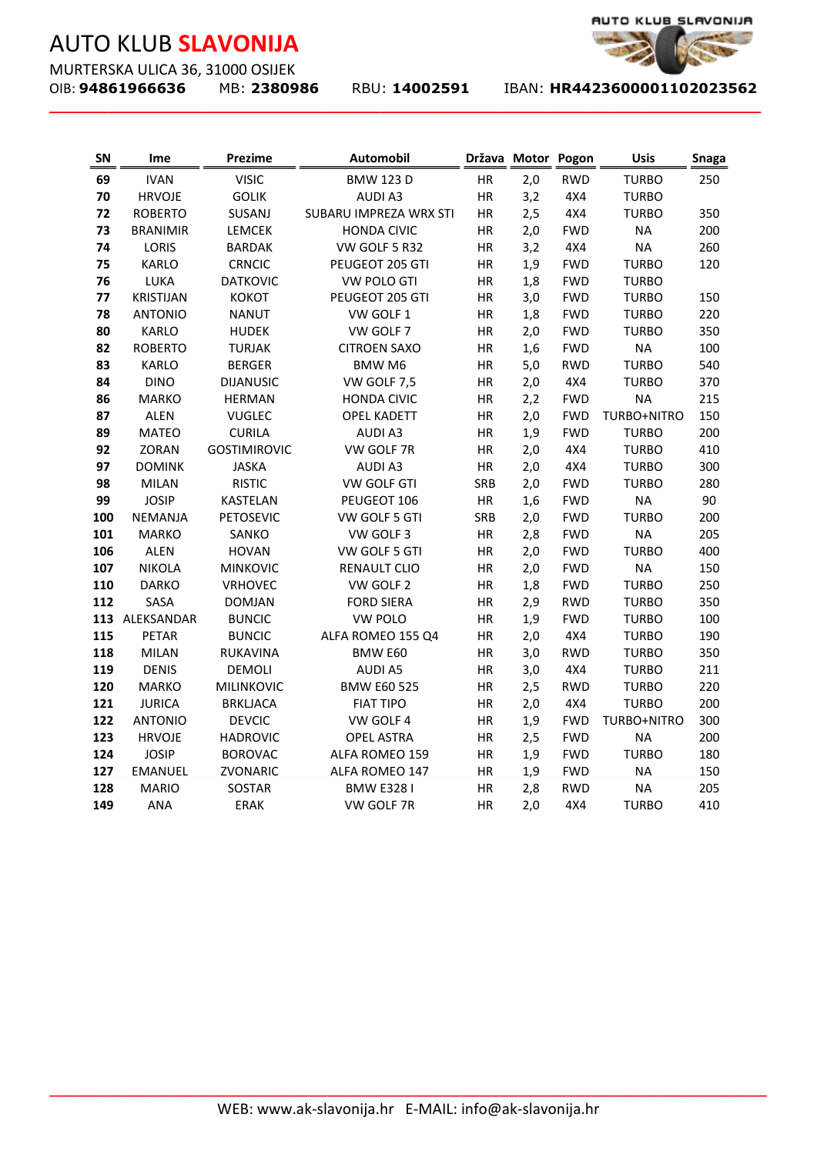MURTERSKA ULICA 36, 31000 OSIJEK<br>OIB: **94861966636** MB: 2380986

**\_\_\_\_\_\_\_\_\_\_\_\_\_\_\_\_\_\_\_\_\_\_\_\_\_\_\_\_\_\_\_\_\_\_\_\_\_\_\_\_\_\_\_\_\_\_\_\_\_\_\_\_\_\_\_\_\_\_\_\_\_\_\_\_\_\_\_\_\_\_\_\_\_**

OIB: **94861966636** MB: **2380986** RBU: **14002591** IBAN: **HR4423600001102023562** 

| SN  | Ime              | <b>Prezime</b>      | Automobil                                             | Država Motor |     | Pogon      | <b>Usis</b>  | <b>Snaga</b> |
|-----|------------------|---------------------|-------------------------------------------------------|--------------|-----|------------|--------------|--------------|
| 69  | <b>IVAN</b>      | <b>VISIC</b>        | <b>BMW 123 D</b>                                      | HR           | 2,0 | <b>RWD</b> | <b>TURBO</b> | 250          |
| 70  | <b>HRVOJE</b>    | <b>GOLIK</b>        | <b>AUDI A3</b>                                        | HR           | 3,2 | 4X4        | <b>TURBO</b> |              |
| 72  | <b>ROBERTO</b>   | SUSANJ              | SUBARU IMPREZA WRX STI                                | HR           | 2,5 | 4X4        | <b>TURBO</b> | 350          |
| 73  | <b>BRANIMIR</b>  | <b>LEMCEK</b>       | <b>HONDA CIVIC</b>                                    | HR           | 2,0 | <b>FWD</b> | <b>NA</b>    | 200          |
| 74  | LORIS            | <b>BARDAK</b>       | VW GOLF 5 R32                                         | HR           | 3,2 | 4X4        | <b>NA</b>    | 260          |
| 75  | <b>KARLO</b>     | <b>CRNCIC</b>       | PEUGEOT 205 GTI                                       | HR           | 1,9 | <b>FWD</b> | <b>TURBO</b> | 120          |
| 76  | LUKA             | <b>DATKOVIC</b>     | <b>VW POLO GTI</b>                                    | HR           | 1,8 | <b>FWD</b> | <b>TURBO</b> |              |
| 77  | <b>KRISTIJAN</b> | <b>KOKOT</b>        | PEUGEOT 205 GTI                                       | HR           | 3,0 | <b>FWD</b> | <b>TURBO</b> | 150          |
| 78  | <b>ANTONIO</b>   | <b>NANUT</b>        | VW GOLF 1                                             | HR           | 1,8 | <b>FWD</b> | <b>TURBO</b> | 220          |
| 80  | <b>KARLO</b>     | <b>HUDEK</b>        | VW GOLF 7                                             | HR           | 2,0 | <b>FWD</b> | <b>TURBO</b> | 350          |
| 82  | <b>ROBERTO</b>   | <b>TURJAK</b>       | <b>CITROEN SAXO</b><br>HR                             |              | 1,6 | <b>FWD</b> | <b>NA</b>    | 100          |
| 83  | <b>KARLO</b>     | <b>BERGER</b>       | <b>BMW M6</b><br>HR                                   |              | 5,0 | <b>RWD</b> | <b>TURBO</b> | 540          |
| 84  | <b>DINO</b>      | <b>DIJANUSIC</b>    | VW GOLF 7,5                                           | HR           | 2,0 | 4X4        | <b>TURBO</b> | 370          |
| 86  | <b>MARKO</b>     | <b>HERMAN</b>       | <b>HONDA CIVIC</b>                                    | HR           | 2,2 | <b>FWD</b> | <b>NA</b>    | 215          |
| 87  | <b>ALEN</b>      | <b>VUGLEC</b>       | <b>OPEL KADETT</b>                                    | HR           | 2,0 | <b>FWD</b> | TURBO+NITRO  | 150          |
| 89  | <b>MATEO</b>     | <b>CURILA</b>       | <b>AUDIA3</b>                                         | HR           | 1,9 | <b>FWD</b> | <b>TURBO</b> | 200          |
| 92  | ZORAN            | <b>GOSTIMIROVIC</b> | VW GOLF 7R                                            | HR           | 2,0 | 4X4        | <b>TURBO</b> | 410          |
| 97  | <b>DOMINK</b>    | <b>JASKA</b>        | <b>AUDI A3</b>                                        | HR           | 2,0 | 4X4        | <b>TURBO</b> | 300          |
| 98  | <b>MILAN</b>     | <b>RISTIC</b>       | VW GOLF GTI                                           | SRB          | 2,0 | <b>FWD</b> | <b>TURBO</b> | 280          |
| 99  | <b>JOSIP</b>     | <b>KASTELAN</b>     | PEUGEOT 106                                           | HR           | 1,6 | <b>FWD</b> | <b>NA</b>    | 90           |
| 100 | <b>NEMANJA</b>   | <b>PETOSEVIC</b>    | VW GOLF 5 GTI                                         | SRB          | 2,0 | <b>FWD</b> | <b>TURBO</b> | 200          |
| 101 | <b>MARKO</b>     | SANKO               | VW GOLF 3                                             | HR           | 2,8 | <b>FWD</b> | <b>NA</b>    | 205          |
| 106 | <b>ALEN</b>      | <b>HOVAN</b>        | VW GOLF 5 GTI                                         | HR           | 2,0 | <b>FWD</b> | <b>TURBO</b> | 400          |
| 107 | <b>NIKOLA</b>    | <b>MINKOVIC</b>     | RENAULT CLIO                                          | HR           | 2,0 | <b>FWD</b> | <b>NA</b>    | 150          |
| 110 | <b>DARKO</b>     | VRHOVEC             | VW GOLF 2                                             | HR           | 1,8 | <b>FWD</b> | <b>TURBO</b> | 250          |
| 112 | SASA             | <b>DOMJAN</b>       | <b>FORD SIERA</b>                                     | HR           | 2,9 | <b>RWD</b> | <b>TURBO</b> | 350          |
| 113 | ALEKSANDAR       | <b>BUNCIC</b>       | <b>VW POLO</b>                                        | HR           | 1,9 | <b>FWD</b> | <b>TURBO</b> | 100          |
| 115 | PETAR            | <b>BUNCIC</b>       | ALFA ROMEO 155 Q4                                     | HR           | 2,0 | 4X4        | <b>TURBO</b> | 190          |
| 118 | <b>MILAN</b>     | <b>RUKAVINA</b>     | BMW E60                                               | HR           | 3,0 | <b>RWD</b> | <b>TURBO</b> | 350          |
| 119 | <b>DENIS</b>     | <b>DEMOLI</b>       | <b>AUDI A5</b>                                        | HR           | 3,0 | 4X4        | <b>TURBO</b> | 211          |
| 120 | <b>MARKO</b>     | <b>MILINKOVIC</b>   | <b>BMW E60 525</b>                                    | HR           | 2,5 | <b>RWD</b> | <b>TURBO</b> | 220          |
| 121 | <b>JURICA</b>    | <b>BRKLJACA</b>     | <b>FIAT TIPO</b>                                      | HR           | 2,0 | 4X4        | <b>TURBO</b> | 200          |
| 122 | <b>ANTONIO</b>   | <b>DEVCIC</b>       | VW GOLF 4                                             | HR           | 1,9 | <b>FWD</b> | TURBO+NITRO  | 300          |
| 123 | <b>HRVOJE</b>    | <b>HADROVIC</b>     | <b>OPEL ASTRA</b>                                     | HR           | 2,5 | <b>FWD</b> | <b>NA</b>    | 200          |
| 124 | <b>JOSIP</b>     | <b>BOROVAC</b>      | ALFA ROMEO 159                                        | HR           | 1,9 | <b>FWD</b> | <b>TURBO</b> | 180          |
| 127 | <b>EMANUEL</b>   | ZVONARIC            | ALFA ROMEO 147                                        | HR           | 1,9 | <b>FWD</b> | <b>NA</b>    | 150          |
| 128 | <b>MARIO</b>     | SOSTAR              | <b>BMW E3281</b>                                      | HR           | 2,8 | <b>RWD</b> | <b>NA</b>    | 205          |
| 149 | <b>ANA</b>       | ERAK                | VW GOLF 7R                                            | HR           | 2,0 | 4X4        | <b>TURBO</b> | 410          |
|     |                  |                     |                                                       |              |     |            |              |              |
|     |                  |                     | WEB: www.ak-slavonija.hr E-MAIL: info@ak-slavonija.hr |              |     |            |              |              |

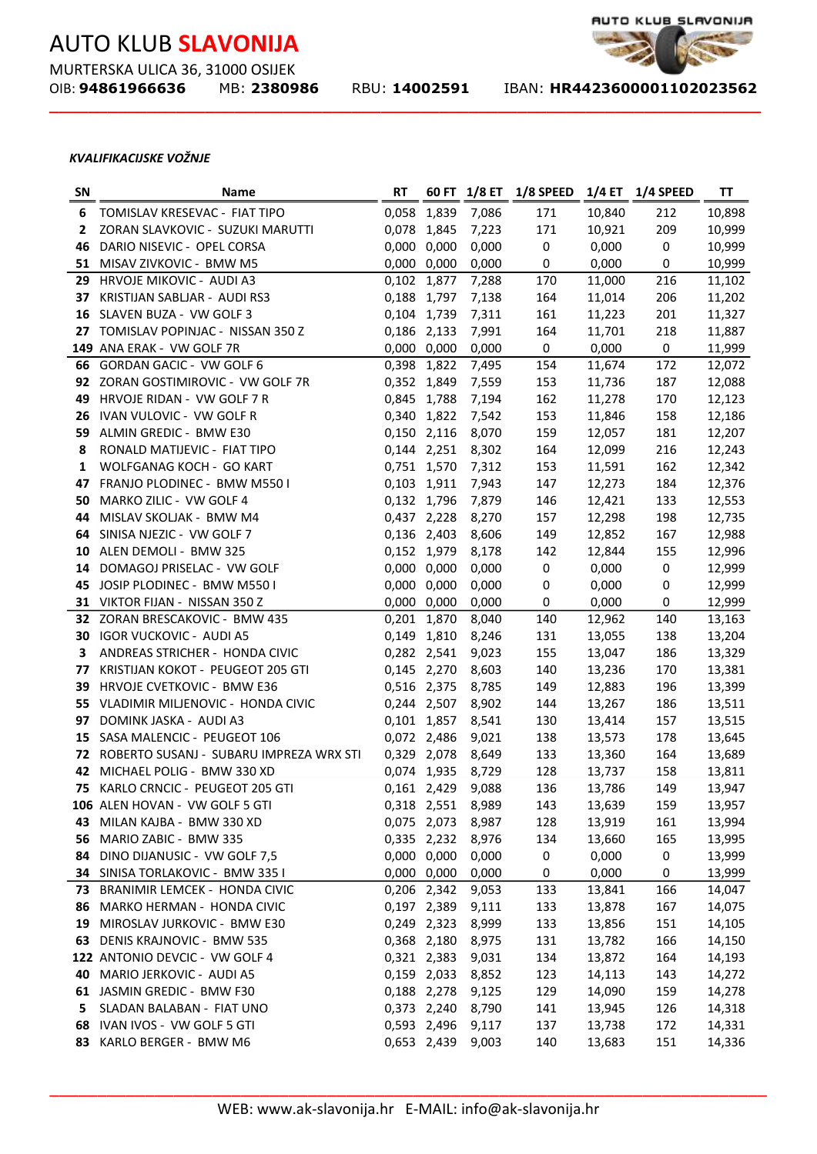MURTERSKA ULICA 36, 31000 OSIJEK<br>OIB: **94861966636** MB: 23809

**\_\_\_\_\_\_\_\_\_\_\_\_\_\_\_\_\_\_\_\_\_\_\_\_\_\_\_\_\_\_\_\_\_\_\_\_\_\_\_\_\_\_\_\_\_\_\_\_\_\_\_\_\_\_\_\_\_\_\_\_\_\_\_\_\_\_\_\_\_\_\_\_\_**

OIB: **94861966636** MB: **2380986** RBU: **14002591** IBAN: **HR4423600001102023562** 

AUTO KLUB\_SLAVONIJA

#### *KVALIFIKACIJSKE VOŽNJE*

| <b>SN</b> | Name                                       | <b>RT</b>   |             | 60 FT 1/8 ET | <b>1/8 SPEED</b> | $1/4$ ET | <b>1/4 SPEED</b> | ΤT     |
|-----------|--------------------------------------------|-------------|-------------|--------------|------------------|----------|------------------|--------|
| 6         | TOMISLAV KRESEVAC - FIAT TIPO              | 0,058       | 1,839       | 7,086        | 171              | 10,840   | 212              | 10,898 |
| 2         | ZORAN SLAVKOVIC - SUZUKI MARUTTI           | 0,078 1,845 |             | 7,223        | 171              | 10,921   | 209              | 10,999 |
| 46        | DARIO NISEVIC - OPEL CORSA                 |             | 0,000 0,000 | 0,000        | 0                | 0,000    | $\pmb{0}$        | 10,999 |
|           | 51 MISAV ZIVKOVIC - BMW M5                 |             | 0,000 0,000 | 0,000        | 0                | 0,000    | 0                | 10,999 |
| 29        | HRVOJE MIKOVIC - AUDI A3                   |             | 0,102 1,877 | 7,288        | 170              | 11,000   | 216              | 11,102 |
|           | 37 KRISTIJAN SABLJAR - AUDI RS3            |             | 0,188 1,797 | 7,138        | 164              | 11,014   | 206              | 11,202 |
|           | 16 SLAVEN BUZA - VW GOLF 3                 | 0,104 1,739 |             | 7,311        | 161              | 11,223   | 201              | 11,327 |
|           | 27 TOMISLAV POPINJAC - NISSAN 350 Z        | 0,186 2,133 |             | 7,991        | 164              | 11,701   | 218              | 11,887 |
|           | 149 ANA ERAK - VW GOLF 7R                  |             | 0,000 0,000 | 0,000        | $\mathbf 0$      | 0,000    | $\pmb{0}$        | 11,999 |
|           | 66 GORDAN GACIC - VW GOLF 6                | 0,398 1,822 |             | 7,495        | 154              | 11,674   | 172              | 12,072 |
|           | 92 ZORAN GOSTIMIROVIC - VW GOLF 7R         |             | 0,352 1,849 | 7,559        | 153              | 11,736   | 187              | 12,088 |
| 49        | HRVOJE RIDAN - VW GOLF 7 R                 | 0,845 1,788 |             | 7,194        | 162              | 11,278   | 170              | 12,123 |
| 26        | IVAN VULOVIC - VW GOLF R                   | 0,340 1,822 |             | 7,542        | 153              | 11,846   | 158              | 12,186 |
| 59        | ALMIN GREDIC - BMW E30                     |             | 0,150 2,116 | 8,070        | 159              | 12,057   | 181              | 12,207 |
| 8         | RONALD MATIJEVIC - FIAT TIPO               |             | 0,144 2,251 | 8,302        | 164              | 12,099   | 216              | 12,243 |
| 1         | WOLFGANAG KOCH - GO KART                   |             | 0,751 1,570 | 7,312        | 153              | 11,591   | 162              | 12,342 |
| 47        | FRANJO PLODINEC - BMW M550 I               | 0,103 1,911 |             | 7,943        | 147              | 12,273   | 184              | 12,376 |
| 50        | MARKO ZILIC - VW GOLF 4                    | 0,132 1,796 |             | 7,879        | 146              | 12,421   | 133              | 12,553 |
| 44        | MISLAV SKOLJAK - BMW M4                    |             | 0,437 2,228 | 8,270        | 157              | 12,298   | 198              | 12,735 |
| 64        | SINISA NJEZIC - VW GOLF 7                  |             | 0,136 2,403 | 8,606        | 149              | 12,852   | 167              | 12,988 |
| 10        | ALEN DEMOLI - BMW 325                      | 0,152 1,979 |             | 8,178        | 142              | 12,844   | 155              | 12,996 |
| 14        | DOMAGOJ PRISELAC - VW GOLF                 | 0,000 0,000 |             | 0,000        | 0                | 0,000    | $\pmb{0}$        | 12,999 |
| 45        | JOSIP PLODINEC - BMW M550 I                |             | 0,000 0,000 | 0,000        | 0                | 0,000    | $\boldsymbol{0}$ | 12,999 |
|           | 31 VIKTOR FIJAN - NISSAN 350 Z             |             | 0,000 0,000 | 0,000        | 0                | 0,000    | $\boldsymbol{0}$ | 12,999 |
|           | 32 ZORAN BRESCAKOVIC - BMW 435             |             | 0,201 1,870 | 8,040        | 140              | 12,962   | 140              | 13,163 |
|           | 30 IGOR VUCKOVIC - AUDI A5                 |             | 0,149 1,810 | 8,246        | 131              | 13,055   | 138              | 13,204 |
| 3         | ANDREAS STRICHER - HONDA CIVIC             |             | 0,282 2,541 | 9,023        | 155              | 13,047   | 186              | 13,329 |
| 77        | KRISTIJAN KOKOT - PEUGEOT 205 GTI          |             | 0,145 2,270 | 8,603        | 140              | 13,236   | 170              | 13,381 |
| 39        | HRVOJE CVETKOVIC - BMW E36                 |             | 0,516 2,375 | 8,785        | 149              | 12,883   | 196              | 13,399 |
|           | 55 VLADIMIR MILJENOVIC - HONDA CIVIC       |             | 0,244 2,507 | 8,902        | 144              | 13,267   | 186              | 13,511 |
| 97        | DOMINK JASKA - AUDI A3                     |             | 0,101 1,857 | 8,541        | 130              | 13,414   | 157              | 13,515 |
| 15        | SASA MALENCIC - PEUGEOT 106                |             | 0,072 2,486 | 9,021        | 138              | 13,573   | 178              | 13,645 |
|           | 72 ROBERTO SUSANJ - SUBARU IMPREZA WRX STI |             | 0,329 2,078 | 8,649        | 133              | 13,360   | 164              | 13,689 |
| 42        | MICHAEL POLIG - BMW 330 XD                 |             | 0,074 1,935 | 8,729        | 128              | 13,737   | 158              | 13,811 |
| 75        | KARLO CRNCIC - PEUGEOT 205 GTI             |             | 0,161 2,429 | 9,088        | 136              | 13,786   | 149              | 13,947 |
|           | 106 ALEN HOVAN - VW GOLF 5 GTI             |             | 0,318 2,551 | 8,989        | 143              | 13,639   | 159              | 13,957 |
| 43        | MILAN KAJBA - BMW 330 XD                   |             | 0,075 2,073 | 8,987        | 128              | 13,919   | 161              | 13,994 |
| 56        | MARIO ZABIC - BMW 335                      |             | 0,335 2,232 | 8,976        | 134              | 13,660   | 165              | 13,995 |
| 84        | DINO DIJANUSIC - VW GOLF 7,5               |             | 0,000 0,000 | 0,000        | 0                | 0,000    | $\pmb{0}$        | 13,999 |
|           | 34 SINISA TORLAKOVIC - BMW 335 I           |             | 0,000 0,000 | 0,000        | 0                | 0,000    | $\pmb{0}$        | 13,999 |
| 73        | BRANIMIR LEMCEK - HONDA CIVIC              | 0,206 2,342 |             | 9,053        | 133              | 13,841   | 166              | 14,047 |
| 86        | MARKO HERMAN - HONDA CIVIC                 |             | 0,197 2,389 | 9,111        | 133              | 13,878   | 167              | 14,075 |
| 19        | MIROSLAV JURKOVIC - BMW E30                |             | 0,249 2,323 | 8,999        | 133              | 13,856   | 151              | 14,105 |
| 63        | <b>DENIS KRAJNOVIC - BMW 535</b>           |             | 0,368 2,180 | 8,975        | 131              | 13,782   | 166              | 14,150 |
|           | 122 ANTONIO DEVCIC - VW GOLF 4             |             | 0,321 2,383 | 9,031        | 134              | 13,872   | 164              | 14,193 |
| 40        | MARIO JERKOVIC - AUDI A5                   |             | 0,159 2,033 | 8,852        | 123              | 14,113   | 143              | 14,272 |
|           | 61 JASMIN GREDIC - BMW F30                 |             | 0,188 2,278 | 9,125        | 129              | 14,090   | 159              | 14,278 |
| 5.        | SLADAN BALABAN - FIAT UNO                  |             | 0,373 2,240 | 8,790        | 141              | 13,945   | 126              | 14,318 |
| 68        | IVAN IVOS - VW GOLF 5 GTI                  |             | 0,593 2,496 | 9,117        | 137              | 13,738   | 172              | 14,331 |
|           | 83 KARLO BERGER - BMW M6                   |             | 0,653 2,439 | 9,003        | 140              | 13,683   | 151              | 14,336 |